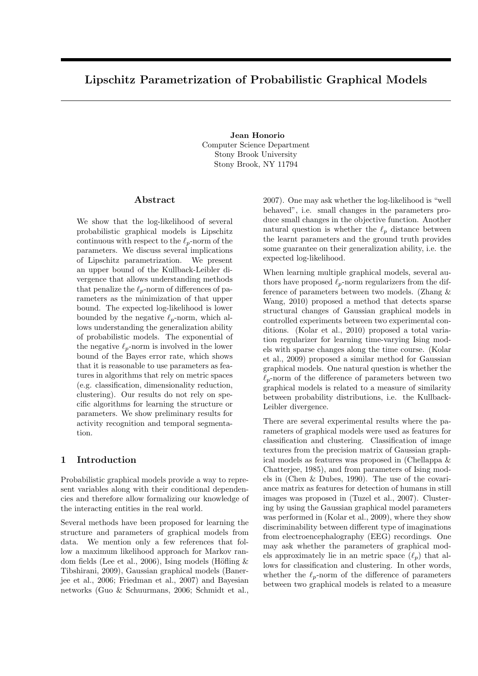# Lipschitz Parametrization of Probabilistic Graphical Models

Jean Honorio Computer Science Department Stony Brook University Stony Brook, NY 11794

### Abstract

We show that the log-likelihood of several probabilistic graphical models is Lipschitz continuous with respect to the  $\ell_p$ -norm of the parameters. We discuss several implications of Lipschitz parametrization. We present an upper bound of the Kullback-Leibler divergence that allows understanding methods that penalize the  $\ell_p$ -norm of differences of parameters as the minimization of that upper bound. The expected log-likelihood is lower bounded by the negative  $\ell_p$ -norm, which allows understanding the generalization ability of probabilistic models. The exponential of the negative  $\ell_p$ -norm is involved in the lower bound of the Bayes error rate, which shows that it is reasonable to use parameters as features in algorithms that rely on metric spaces (e.g. classification, dimensionality reduction, clustering). Our results do not rely on specific algorithms for learning the structure or parameters. We show preliminary results for activity recognition and temporal segmentation.

# 1 Introduction

Probabilistic graphical models provide a way to represent variables along with their conditional dependencies and therefore allow formalizing our knowledge of the interacting entities in the real world.

Several methods have been proposed for learning the structure and parameters of graphical models from data. We mention only a few references that follow a maximum likelihood approach for Markov random fields (Lee et al., 2006), Ising models (Höfling  $\&$ Tibshirani, 2009), Gaussian graphical models (Banerjee et al., 2006; Friedman et al., 2007) and Bayesian networks (Guo & Schuurmans, 2006; Schmidt et al.,

2007). One may ask whether the log-likelihood is "well behaved", i.e. small changes in the parameters produce small changes in the objective function. Another natural question is whether the  $\ell_n$  distance between the learnt parameters and the ground truth provides some guarantee on their generalization ability, i.e. the expected log-likelihood.

When learning multiple graphical models, several authors have proposed  $\ell_p$ -norm regularizers from the difference of parameters between two models. (Zhang & Wang, 2010) proposed a method that detects sparse structural changes of Gaussian graphical models in controlled experiments between two experimental conditions. (Kolar et al., 2010) proposed a total variation regularizer for learning time-varying Ising models with sparse changes along the time course. (Kolar et al., 2009) proposed a similar method for Gaussian graphical models. One natural question is whether the  $\ell_p$ -norm of the difference of parameters between two graphical models is related to a measure of similarity between probability distributions, i.e. the Kullback-Leibler divergence.

There are several experimental results where the parameters of graphical models were used as features for classification and clustering. Classification of image textures from the precision matrix of Gaussian graphical models as features was proposed in (Chellappa & Chatterjee, 1985), and from parameters of Ising models in (Chen & Dubes, 1990). The use of the covariance matrix as features for detection of humans in still images was proposed in (Tuzel et al., 2007). Clustering by using the Gaussian graphical model parameters was performed in (Kolar et al., 2009), where they show discriminability between different type of imaginations from electroencephalography (EEG) recordings. One may ask whether the parameters of graphical models approximately lie in an metric space  $(\ell_p)$  that allows for classification and clustering. In other words, whether the  $\ell_p$ -norm of the difference of parameters between two graphical models is related to a measure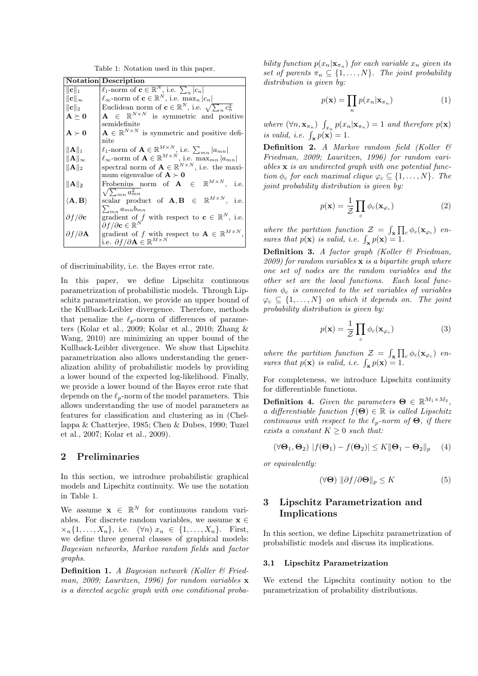Table 1: Notation used in this paper.

|                                        | <b>Notation</b> Description                                                                           |  |  |  |  |
|----------------------------------------|-------------------------------------------------------------------------------------------------------|--|--|--|--|
| $  \mathbf{c}  _1$                     | $\ell_1$ -norm of $\mathbf{c} \in \mathbb{R}^N$ , i.e. $\sum_{n}  c_n $                               |  |  |  |  |
| $\ \mathbf{c}\ _{\infty}$              | $\ell_{\infty}$ -norm of $\mathbf{c} \in \mathbb{R}^{N}$ , i.e. max <sub>n</sub> $ c_n $              |  |  |  |  |
| $\ \mathbf{c}\ _2$                     | Euclidean norm of $\mathbf{c} \in \mathbb{R}^N$ , i.e. $\sqrt{\sum_n c_n^2}$                          |  |  |  |  |
| $\mathbf{A}\succ\mathbf{0}$            | $\mathbf{A} \in \mathbb{R}^{N \times N}$ is symmetric and positive                                    |  |  |  |  |
|                                        | semidefinite                                                                                          |  |  |  |  |
| $\mathbf{A}\succ\mathbf{0}$            | $\mathbf{A} \in \mathbb{R}^{N \times N}$ is symmetric and positive defi-                              |  |  |  |  |
|                                        | nite                                                                                                  |  |  |  |  |
| $\ \mathbf{A}\ _1$                     | $\ell_1$ -norm of $\mathbf{A} \in \mathbb{R}^{M \times N}$ , i.e. $\sum_{mn}  a_{mn} $                |  |  |  |  |
| $\ \mathbf{A}\ _{\infty}$              | $\ell_{\infty}$ -norm of $\mathbf{A} \in \mathbb{R}^{M \times N}$ , i.e. max <sub>mn</sub> $ a_{mn} $ |  |  |  |  |
| $\ \mathbf{A}\ _2$                     | spectral norm of $\mathbf{A} \in \mathbb{R}^{N \times N}$ , i.e. the maxi-                            |  |  |  |  |
|                                        | mum eigenvalue of $A \succ 0$                                                                         |  |  |  |  |
| $\ \mathbf{A}\ _{\mathfrak{F}}$        | Frobenius norm of $A \in \mathbb{R}^{M \times N}$ , i.e.                                              |  |  |  |  |
|                                        | $\sqrt{\sum_{mn} a_{mn}^2}$                                                                           |  |  |  |  |
| $\langle \mathbf{A},\mathbf{B}\rangle$ | scalar product of $\mathbf{A}, \mathbf{B} \in \mathbb{R}^{M \times N}$ , i.e.                         |  |  |  |  |
|                                        | $\sum_{mn} a_{mn} b_{mn}$                                                                             |  |  |  |  |
| $\partial f/\partial \mathbf{c}$       | gradient of f with respect to $\mathbf{c} \in \mathbb{R}^N$ , i.e.                                    |  |  |  |  |
|                                        | $\partial f/\partial \mathbf{c} \in \mathbb{R}^N$                                                     |  |  |  |  |
| $\partial f/\partial A$                | gradient of f with respect to $\mathbf{A} \in \mathbb{R}^{M \times N}$ .                              |  |  |  |  |
|                                        | i.e. $\partial f/\partial \mathbf{A} \in \mathbb{R}^{M \times N}$                                     |  |  |  |  |

of discriminability, i.e. the Bayes error rate.

In this paper, we define Lipschitz continuous parametrization of probabilistic models. Through Lipschitz parametrization, we provide an upper bound of the Kullback-Leibler divergence. Therefore, methods that penalize the  $\ell_p$ -norm of differences of parameters (Kolar et al., 2009; Kolar et al., 2010; Zhang & Wang, 2010) are minimizing an upper bound of the Kullback-Leibler divergence. We show that Lipschitz parametrization also allows understanding the generalization ability of probabilistic models by providing a lower bound of the expected log-likelihood. Finally, we provide a lower bound of the Bayes error rate that depends on the  $\ell_p$ -norm of the model parameters. This allows understanding the use of model parameters as features for classification and clustering as in (Chellappa & Chatterjee, 1985; Chen & Dubes, 1990; Tuzel et al., 2007; Kolar et al., 2009).

# 2 Preliminaries

In this section, we introduce probabilistic graphical models and Lipschitz continuity. We use the notation in Table 1.

We assume  $\mathbf{x} \in \mathbb{R}^N$  for continuous random variables. For discrete random variables, we assume  $\mathbf{x} \in \mathbb{R}$  $x_n\{1,\ldots,X_n\}$ , i.e.  $(\forall n)x_n \in \{1,\ldots,X_n\}$ . First, we define three general classes of graphical models: Bayesian networks, Markov random fields and factor graphs.

**Definition 1.** A Bayesian network (Koller  $\mathcal{B}$  Friedman, 2009; Lauritzen, 1996) for random variables **x** is a directed acyclic graph with one conditional probability function  $p(x_n|\mathbf{x}_{\pi_n})$  for each variable  $x_n$  given its set of parents  $\pi_n \subseteq \{1, \ldots, N\}$ . The joint probability distribution is given by:

$$
p(\mathbf{x}) = \prod_{n} p(x_n | \mathbf{x}_{\pi_n})
$$
\n(1)

where  $(\forall n, \mathbf{x}_{\pi_n}) \ \int_{x_n} p(x_n | \mathbf{x}_{\pi_n}) = 1$  and therefore  $p(\mathbf{x})$ is valid, i.e.  $\int_{\mathbf{x}} p(\mathbf{x}) = 1$ .

Definition 2. A Markov random field (Koller & Friedman, 2009; Lauritzen, 1996) for random variables x is an undirected graph with one potential function  $\phi_c$  for each maximal clique  $\varphi_c \subseteq \{1,\ldots,N\}$ . The joint probability distribution is given by:

$$
p(\mathbf{x}) = \frac{1}{\mathcal{Z}} \prod_{c} \phi_c(\mathbf{x}_{\varphi_c})
$$
 (2)

where the partition function  $\mathcal{Z} = \int_{\mathbf{x}} \prod_c \phi_c(\mathbf{x}_{\varphi_c})$  ensures that  $p(\mathbf{x})$  is valid, i.e.  $\int_{\mathbf{x}} p(\mathbf{x}) = 1$ .

Definition 3. A factor graph (Koller & Friedman, 2009) for random variables  $x$  is a bipartite graph where one set of nodes are the random variables and the other set are the local functions. Each local function  $\phi_c$  is connected to the set variables of variables  $\varphi_c \subseteq \{1,\ldots,N\}$  on which it depends on. The joint probability distribution is given by:

$$
p(\mathbf{x}) = \frac{1}{Z} \prod_{c} \phi_c(\mathbf{x}_{\varphi_c})
$$
 (3)

where the partition function  $\mathcal{Z} = \int_{\mathbf{x}} \prod_c \phi_c(\mathbf{x}_{\varphi_c})$  ensures that  $p(\mathbf{x})$  is valid, i.e.  $\int_{\mathbf{x}} p(\mathbf{x}) = 1$ .

For completeness, we introduce Lipschitz continuity for differentiable functions.

**Definition 4.** Given the parameters  $\mathbf{\Theta} \in \mathbb{R}^{M_1 \times M_2}$ , a differentiable function  $f(\Theta) \in \mathbb{R}$  is called Lipschitz continuous with respect to the  $\ell_p$ -norm of  $\Theta$ , if there exists a constant  $K \geq 0$  such that:

$$
(\forall \mathbf{\Theta}_1, \mathbf{\Theta}_2) |f(\mathbf{\Theta}_1) - f(\mathbf{\Theta}_2)| \le K \|\mathbf{\Theta}_1 - \mathbf{\Theta}_2\|_p \quad (4)
$$

or equivalently:

$$
(\forall \mathbf{\Theta}) \ \| \partial f / \partial \mathbf{\Theta} \|_{p} \leq K \tag{5}
$$

# 3 Lipschitz Parametrization and Implications

In this section, we define Lipschitz parametrization of probabilistic models and discuss its implications.

#### 3.1 Lipschitz Parametrization

We extend the Lipschitz continuity notion to the parametrization of probability distributions.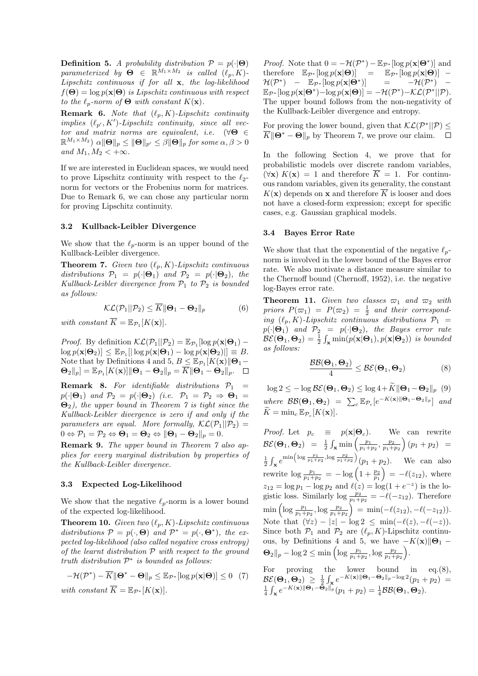**Definition 5.** A probability distribution  $\mathcal{P} = p(\cdot | \Theta)$ parameterized by  $\Theta \in \mathbb{R}^{M_1 \times M_2}$  is called  $(\ell_p, K)$ -Lipschitz continuous if for all x, the log-likelihood  $f(\mathbf{\Theta}) = \log p(\mathbf{x}|\mathbf{\Theta})$  is Lipschitz continuous with respect to the  $\ell_n$ -norm of  $\Theta$  with constant  $K(\mathbf{x})$ .

**Remark 6.** Note that  $(\ell_p, K)$ -Lipschitz continuity implies  $(\ell_{p'}, K')$ -Lipschitz continuity, since all vector and matrix norms are equivalent, i.e.  $(\forall \Theta \in$  $\mathbb{R}^{M_1 \times M_2}$ )  $\alpha \|\Theta\|_p \le \|\Theta\|_{p'} \le \beta \|\Theta\|_p$  for some  $\alpha, \beta > 0$ and  $M_1, M_2 < +\infty$ .

If we are interested in Euclidean spaces, we would need to prove Lipschitz continuity with respect to the  $\ell_2$ norm for vectors or the Frobenius norm for matrices. Due to Remark 6, we can chose any particular norm for proving Lipschitz continuity.

#### 3.2 Kullback-Leibler Divergence

We show that the  $\ell_p$ -norm is an upper bound of the Kullback-Leibler divergence.

**Theorem 7.** Given two  $(\ell_p, K)$ -Lipschitz continuous distributions  $\mathcal{P}_1 = p(\cdot | \mathbf{\Theta}_1)$  and  $\mathcal{P}_2 = p(\cdot | \mathbf{\Theta}_2)$ , the Kullback-Leibler divergence from  $\mathcal{P}_1$  to  $\mathcal{P}_2$  is bounded as follows:

$$
\mathcal{KL}(\mathcal{P}_1 || \mathcal{P}_2) \le \overline{K} || \mathbf{\Theta}_1 - \mathbf{\Theta}_2 ||_p \tag{6}
$$

with constant  $\overline{K} = \mathbb{E}_{\mathcal{P}_1}[K(\mathbf{x})].$ 

*Proof.* By definition  $\mathcal{KL}(\mathcal{P}_1||\mathcal{P}_2) = \mathbb{E}_{\mathcal{P}_1}[\log p(\mathbf{x}|\mathbf{\Theta}_1) \log p(\mathbf{x}|\mathbf{\Theta}_2)] \leq \mathbb{E}_{\mathcal{P}_1}[|\log p(\mathbf{x}|\mathbf{\Theta}_1) - \log p(\mathbf{x}|\mathbf{\Theta}_2)|] \equiv B.$ Note that by Definitions 4 and 5,  $B \n\t\leq \mathbb{E}_{\mathcal{P}_1}[K(\mathbf{x})] \cdot \mathbf{\Theta}_1$  $\mathbf{\Theta}_2\Vert_p] = \mathbb{E}_{\mathcal{P}_1}[K(\mathbf{x})] \Vert \mathbf{\Theta}_1 - \mathbf{\Theta}_2\Vert_p = \overline{K} \Vert \mathbf{\Theta}_1 - \mathbf{\Theta}_2\Vert_p.$ 

**Remark 8.** For identifiable distributions  $P_1$  =  $p(\cdot|\mathbf{\Theta}_1)$  and  $\mathcal{P}_2 = p(\cdot|\mathbf{\Theta}_2)$  (i.e.  $\mathcal{P}_1 = \mathcal{P}_2 \Rightarrow \mathbf{\Theta}_1 =$  $\Theta_2$ ), the upper bound in Theorem 7 is tight since the Kullback-Leibler divergence is zero if and only if the parameters are equal. More formally,  $\mathcal{KL}(\mathcal{P}_1||\mathcal{P}_2)$  =  $0 \Leftrightarrow \mathcal{P}_1 = \mathcal{P}_2 \Leftrightarrow \mathbf{\Theta}_1 = \mathbf{\Theta}_2 \Leftrightarrow \|\mathbf{\Theta}_1 - \mathbf{\Theta}_2\|_p = 0.$ 

Remark 9. The upper bound in Theorem 7 also applies for every marginal distribution by properties of the Kullback-Leibler divergence.

#### 3.3 Expected Log-Likelihood

We show that the negative  $\ell_p$ -norm is a lower bound of the expected log-likelihood.

**Theorem 10.** Given two  $(\ell_p, K)$ -Lipschitz continuous distributions  $\mathcal{P} = p(\cdot, \boldsymbol{\Theta})$  and  $\mathcal{P}^* = p(\cdot, \boldsymbol{\Theta}^*)$ , the expected log-likelihood (also called negative cross entropy) of the learnt distribution  $P$  with respect to the ground truth distribution  $\mathcal{P}^*$  is bounded as follows:

$$
-\mathcal{H}(\mathcal{P}^*) - \overline{K} || \mathbf{\Theta}^* - \mathbf{\Theta} ||_p \le \mathbb{E}_{\mathcal{P}^*} [\log p(\mathbf{x}|\mathbf{\Theta})] \le 0 \quad (7)
$$
  
with constant  $\overline{K} = \mathbb{E}_{\mathcal{P}^*}[K(\mathbf{x})].$ 

*Proof.* Note that  $0 = -\mathcal{H}(\mathcal{P}^*) - \mathbb{E}_{\mathcal{P}^*}[\log p(\mathbf{x}|\mathbf{\Theta}^*)]$  and therefore  $\mathbb{E}_{\mathcal{P}^*}[\log p(\mathbf{x}|\mathbf{\Theta})] = \mathbb{E}_{\mathcal{P}^*}[\log p(\mathbf{x}|\mathbf{\Theta})] - \mathcal{H}(\mathcal{P}^*) - \mathbb{E}_{\mathcal{P}^*}[\log p(\mathbf{x}|\mathbf{\Theta}^*)] = -\mathcal{H}(\mathcal{P}^*) - \mathbb{E}_{\mathcal{P}^*}[\log p(\mathbf{x}|\mathbf{\Theta}^*)]$  $\mathcal{H}(\mathcal{P}^*)$  –  $\mathbb{E}_{\mathcal{P}^*}[\log p(\mathbf{x}|\mathbf{\Theta}^*)]$  $\mathbb{E}_{\mathcal{P}^*}[\log p(\mathbf{x}|\mathbf{\Theta}^*) - \log p(\mathbf{x}|\mathbf{\Theta})] = -\mathcal{H}(\mathcal{P}^*) - \mathcal{KL}(\mathcal{P}^*||\mathcal{P}).$ The upper bound follows from the non-negativity of the Kullback-Leibler divergence and entropy.

For proving the lower bound, given that  $\mathcal{KL}(\mathcal{P}^*||\mathcal{P}) \leq$  $\overline{K} \|\Theta^* - \Theta\|_p$  by Theorem 7, we prove our claim.  $\square$ 

In the following Section 4, we prove that for probabilistic models over discrete random variables,  $(\forall \mathbf{x}) K(\mathbf{x}) = 1$  and therefore  $\overline{K} = 1$ . For continuous random variables, given its generality, the constant  $K(\mathbf{x})$  depends on **x** and therefore  $\overline{K}$  is looser and does not have a closed-form expression; except for specific cases, e.g. Gaussian graphical models.

#### 3.4 Bayes Error Rate

We show that that the exponential of the negative  $\ell_p$ norm is involved in the lower bound of the Bayes error rate. We also motivate a distance measure similar to the Chernoff bound (Chernoff, 1952), i.e. the negative log-Bayes error rate.

**Theorem 11.** Given two classes  $\varpi_1$  and  $\varpi_2$  with priors  $P(\varpi_1) = P(\varpi_2) = \frac{1}{2}$  and their corresponding  $(\ell_p, K)$ -Lipschitz continuous distributions  $\mathcal{P}_1$  =  $p(\cdot|\mathbf{\Theta}_1)$  and  $\mathcal{P}_2 = p(\cdot|\mathbf{\Theta}_2)$ , the Bayes error rate  $\mathcal{BE}(\mathbf{\Theta}_1, \mathbf{\Theta}_2) = \frac{1}{2} \int_{\mathbf{x}} \min(p(\mathbf{x}|\mathbf{\Theta}_1), p(\mathbf{x}|\mathbf{\Theta}_2))$  is bounded as follows:

$$
\frac{\mathcal{BB}(\Theta_1, \Theta_2)}{4} \leq \mathcal{BE}(\Theta_1, \Theta_2) \tag{8}
$$

 $\log 2 \leq -\log \mathcal{BE}(\mathbf{\Theta}_1, \mathbf{\Theta}_2) \leq \log 4 + \widetilde{K} \|\mathbf{\Theta}_1 - \mathbf{\Theta}_2\|_p$  (9) where  $\mathcal{BB}(\Theta_1, \Theta_2) = \sum_{c} \mathbb{E}_{\mathcal{P}_c}[e^{-K(\mathbf{x})\|\Theta_1 - \Theta_2\|_p}]$  and  $\widetilde{K} = \min_{c} \mathbb{E}_{\mathcal{P}_{c}} [K(\mathbf{x})].$ 

*Proof.* Let  $p_c \equiv p(\mathbf{x}|\mathbf{\Theta}_c)$ . We can rewrite  $\mathcal{BE}(\mathbf{\Theta}_1, \mathbf{\Theta}_2) = \frac{1}{2} \int_{\mathbf{x}} \min \left( \frac{p_1}{p_1 + p_2}, \frac{p_2}{p_1 + p_2} \right) (p_1 + p_2) =$  $\frac{1}{2} \int_{\mathbf{x}} e^{\min\left(\log \frac{p_1}{p_1+p_2}, \log \frac{p_2}{p_1+p_2}\right)} (p_1+p_2).$  We can also rewrite  $\log \frac{p_1}{p_1+p_2} = -\log \left(1+\frac{p_2}{p_1}\right) = -\ell(z_{12}),$  where  $z_{12} = \log p_1 - \log p_2$  and  $\ell(z) = \log(1 + e^{-z})$  is the logistic loss. Similarly  $\log \frac{p_2}{p_1+p_2} = -\ell(-z_{12})$ . Therefore  $\min\left(\log \frac{p_1}{p_1+p_2}, \log \frac{p_2}{p_1+p_2}\right) = \min(-\ell(z_{12}), -\ell(-z_{12})).$ Note that  $(\forall z) - |z| - \log 2 \le \min(-\ell(z), -\ell(-z)).$ Since both  $\mathcal{P}_1$  and  $\mathcal{P}_2$  are  $(\ell_p, K)$ -Lipschitz continuous, by Definitions 4 and 5, we have  $-K(\mathbf{x})\|\mathbf{\Theta}_1$  –  $\Theta_2 \|_p - \log 2 \le \min \left( \log \frac{p_1}{p_1 + p_2}, \log \frac{p_2}{p_1 + p_2} \right).$ 

For proving the lower bound in  $eq.(8)$ ,  $\begin{array}{l} \mathcal{BE}(\mathbf{\Theta}_1,\mathbf{\Theta}_2) \, \ge \, \frac{1}{2} \int_{\mathbf{x}} e^{-K(\mathbf{x}) \Vert \mathbf{\Theta}_1 - \mathbf{\Theta}_2 \Vert_p - \log 2}(p_1 + p_2) \, = \ \frac{1}{4} \int_{\mathbf{x}} e^{-K(\mathbf{x}) \Vert \mathbf{\Theta}_1 - \mathbf{\Theta}_2 \Vert_p} (p_1 + p_2) \, = \frac{1}{4} \mathcal{BB}(\mathbf{\Theta}_1,\mathbf{\Theta}_2). \end{array}$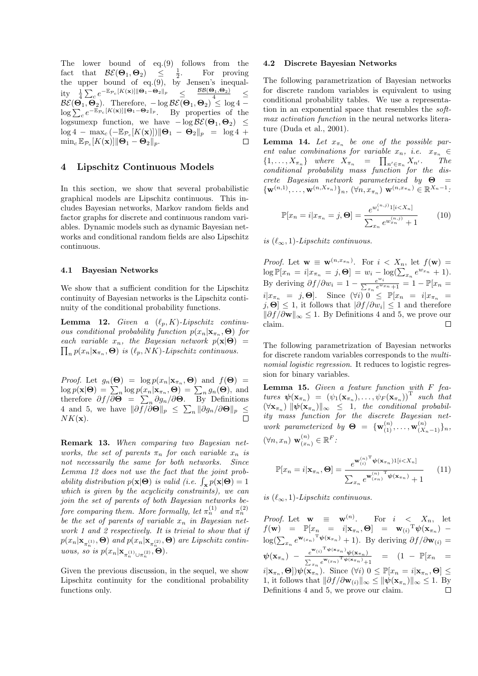The lower bound of eq.(9) follows from the fact that  $\mathcal{BE}(\mathbf{\Theta}_1, \mathbf{\Theta}_2) \leq \frac{1}{2}$ . For proving the upper bound of eq.(9), by Jensen's inequality  $\frac{1}{4} \sum_{c} e^{-\mathbb{E}_{\mathcal{P}_c}[K(\mathbf{x})] \|\mathbf{\Theta}_1 - \mathbf{\Theta}_2\|_p} \leq \frac{\mathcal{B}\mathcal{B}(\mathbf{\Theta}_1, \mathbf{\Theta}_2)}{4} \leq$  $\mathcal{BE}(\mathbf{\Theta}_1, \mathbf{\Theta}_2)$ . Therefore,  $-\log \mathcal{BE}(\mathbf{\Theta}_1, \mathbf{\Theta}_2) \leq \log 4 \log \sum_{c} e^{-\mathbb{E}_{\mathcal{P}_c}[K(\mathbf{x})] \|\mathbf{\Theta}_1 - \mathbf{\Theta}_2\|_p}$ . By properties of the logsumexp function, we have  $-\log \mathcal{BE}(\Theta_1, \Theta_2) \leq$  $\log 4 - \max_c (-\mathbb{E}_{\mathcal{P}_c}[K(\mathbf{x})]) \|\mathbf{\Theta}_1 - \mathbf{\Theta}_2\|_p = \log 4 + \min_c \mathbb{E}_{\mathcal{P}_c}[K(\mathbf{x})] \|\mathbf{\Theta}_1 - \mathbf{\Theta}_2\|_p$  $\min_c \mathbb{E}_{\mathcal{P}_c}[K(\mathbf{x})] \|\mathbf{\Theta}_1 - \mathbf{\Theta}_2\|_p.$ 

# 4 Lipschitz Continuous Models

In this section, we show that several probabilistic graphical models are Lipschitz continuous. This includes Bayesian networks, Markov random fields and factor graphs for discrete and continuous random variables. Dynamic models such as dynamic Bayesian networks and conditional random fields are also Lipschitz continuous.

#### 4.1 Bayesian Networks

We show that a sufficient condition for the Lipschitz continuity of Bayesian networks is the Lipschitz continuity of the conditional probability functions.

**Lemma 12.** Given a  $(\ell_p, K)$ -Lipschitz continuous conditional probability function  $p(x_n|\mathbf{x}_n, \Theta)$  for each variable  $x_n$ , the Bayesian network  $p(\mathbf{x}|\mathbf{\Theta}) =$  $\prod_{n} p(x_n | \mathbf{x}_{\pi_n}, \mathbf{\Theta})$  is  $(\ell_p, NK)$ -Lipschitz continuous.

*Proof.* Let  $g_n(\mathbf{\Theta}) = \log p(x_n|\mathbf{x}_{\pi_n}, \mathbf{\Theta})$  and  $f(\mathbf{\Theta}) =$  $\log p(\mathbf{x}|\mathbf{\Theta}) = \sum_{n} \log p(x_n|\mathbf{x}_{\pi_n}, \mathbf{\Theta}) = \sum_{n} g_n(\mathbf{\Theta})$ , and therefore  $\partial f / \overline{\partial \Theta} = \sum_n \partial g_n / \partial \Theta$ . By Definitions 4 and 5, we have  $\|\partial f/\partial \mathbf{\Theta}\|_p \leq \sum_n \|\partial g_n/\partial \mathbf{\Theta}\|_p \leq$  $NK(\mathbf{x}).$ 

Remark 13. When comparing two Bayesian networks, the set of parents  $\pi_n$  for each variable  $x_n$  is not necessarily the same for both networks. Since Lemma 12 does not use the fact that the joint probability distribution  $p(\mathbf{x}|\mathbf{\Theta})$  is valid (i.e.  $\int_{\mathbf{x}} p(\mathbf{x}|\mathbf{\Theta}) = 1$ which is given by the acyclicity constraints), we can join the set of parents of both Bayesian networks before comparing them. More formally, let  $\pi_n^{(1)}$  and  $\pi_n^{(2)}$ be the set of parents of variable  $x_n$  in Bayesian network 1 and 2 respectively. It is trivial to show that if  $p(x_n|\mathbf{x}_{\pi^{(1)}_n},\mathbf{\Theta})$  and  $p(x_n|\mathbf{x}_{\pi^{(2)}_n},\mathbf{\Theta})$  are Lipschitz continuous, so is  $p(x_n | \mathbf{x}_{\pi_n^{(1)} \cup \pi_n^{(2)}}, \Theta)$ .

Given the previous discussion, in the sequel, we show Lipschitz continuity for the conditional probability functions only.

#### 4.2 Discrete Bayesian Networks

The following parametrization of Bayesian networks for discrete random variables is equivalent to using conditional probability tables. We use a representation in an exponential space that resembles the softmax activation function in the neural networks literature (Duda et al., 2001).

**Lemma 14.** Let  $x_{\pi_n}$  be one of the possible parent value combinations for variable  $x_n$ , i.e.  $x_{\pi_n} \in$  ${1, \ldots, X_{\pi_n}}$  where  $X_{\pi_n} = \prod_{n' \in \pi_n} X_{n'}$ . The conditional probability mass function for the discrete Bayesian network parameterized by  $\Theta$  =  ${\{ {\bf w}^{(n,1)}, \ldots , {\bf w}^{(n,X_{\pi_n})} \}_n, (\forall n, x_{\pi_n}) {\bf w}^{(n,x_{\pi_n})} \in \mathbb{R}^{X_n-1}}$ 

$$
\mathbb{P}[x_n = i | x_{\pi_n} = j, \Theta] = \frac{e^{w_i^{(n,j)} 1[i < X_n]}}{\sum_{x_n} e^{w_{x_n}^{(n,j)}} + 1} \tag{10}
$$

is  $(\ell_{\infty}, 1)$ -Lipschitz continuous.

*Proof.* Let  $\mathbf{w} \equiv \mathbf{w}^{(n,x_{\pi_n})}$ . For  $i \leq X_n$ , let  $f(\mathbf{w}) =$  $\log \mathbb{P}[x_n = i | x_{\pi_n} = j, \Theta] = w_i - \log(\sum_{x_n} e^{w_{x_n}} + 1).$ By deriving  $\partial f / \partial w_i = 1 - \frac{e^{w_i}}{\sum_{x_n} e^{w_{x_n}} + 1} = 1 - \mathbb{P}[x_n =$  $i|x_{\pi_n} = j, \Theta$ . Since  $(\forall i)$   $0 \leq \mathbb{P}[x_n = i|x_{\pi_n}]$  $j,\Theta^{\dagger} \leq 1$ , it follows that  $|\partial f/\partial w_i| \leq 1$  and therefore  $||\partial f/\partial \mathbf{w}||_{\infty} \leq 1$ . By Definitions 4 and 5, we prove our claim claim.

The following parametrization of Bayesian networks for discrete random variables corresponds to the multinomial logistic regression. It reduces to logistic regression for binary variables.

**Lemma 15.** Given a feature function with  $F$  features  $\boldsymbol{\psi}(\mathbf{x}_{\pi_n}) = (\psi_1(\mathbf{x}_{\pi_n}), \ldots, \psi_F(\mathbf{x}_{\pi_n}))^T$  such that  $(\forall \mathbf{x}_{\pi_n} \rangle ||\psi(\mathbf{x}_{\pi_n})||_{\infty} \leq 1$ , the conditional probability mass function for the discrete Bayesian network parameterized by  $\Theta = {\mathbf{w}_{(1)}^{(n)}, \ldots, \mathbf{w}_{(X_n-1)}^{(n)}}_n$  $(\forall n, x_n) \mathbf{w}_{(x_n)}^{(n)} \in \mathbb{R}^F$ :

$$
\mathbb{P}[x_n = i | \mathbf{x}_{\pi_n}, \Theta] = \frac{e^{\mathbf{w}_{(i)}^{(n)}}^{\mathsf{T}} \psi(\mathbf{x}_{\pi_n}) \mathbf{1}[i < X_n]}{\sum_{x_n} e^{\mathbf{w}_{(x_n)}^{(n)}}^{\mathsf{T}} \psi(\mathbf{x}_{\pi_n}) + 1} \qquad (11)
$$

is  $(\ell_{\infty}, 1)$ -Lipschitz continuous.

*Proof.* Let  $\mathbf{w} \equiv \mathbf{w}^{(n)}$ . For  $i \leq X_n$ , let  $f(\mathbf{w}) = \mathbb{P}[x_n = i | \mathbf{x}_{\pi_n}, \Theta] = \mathbf{w}_{(i)}^\mathrm{T} \boldsymbol{\psi}(\mathbf{x}_{\pi_n}) \log(\sum_{x_n} e^{\mathbf{w}_{(x_n)}}^{\mathrm{T}} \psi(\mathbf{x}_{\pi_n}) + 1)$ . By deriving  $\partial f / \partial \mathbf{w}_{(i)} =$  $\psi(\mathbf{x}_{\pi_n}) \; - \; \frac{e^{\mathbf{w}_{(i)}^\mathrm{T}\psi(\mathbf{x}_{\pi_n})}\psi(\mathbf{x}_{\pi_n})}{\sum \frac{e^{\mathbf{w}_{(x_n)}^\mathrm{T}\psi(\mathbf{x}_{\pi_n})}}{\sum} \; .$  $\frac{e^{-(x)}\psi(x_{\pi n})}{\sum_{x_n} e^{w(x_n)^{\mathrm{T}}\psi(x_{\pi n})}+1}$  =  $(1 - \mathbb{P}[x_n]$  $i|\mathbf{x}_{\pi_n}, \mathbf{\Theta}]\psi(\mathbf{x}_{\pi_n})$ . Since  $(\forall i)$   $0 \leq \mathbb{P}[x_n = i|\mathbf{x}_{\pi_n}, \mathbf{\Theta}] \leq$ 1, it follows that  $\|\partial f/\partial \mathbf{w}_{(i)}\|_{\infty} \leq \|\psi(\mathbf{x}_{\pi_n})\|_{\infty} \leq 1$ . By<br>Definitions 4 and 5, we prove our claim. Definitions 4 and 5, we prove our claim.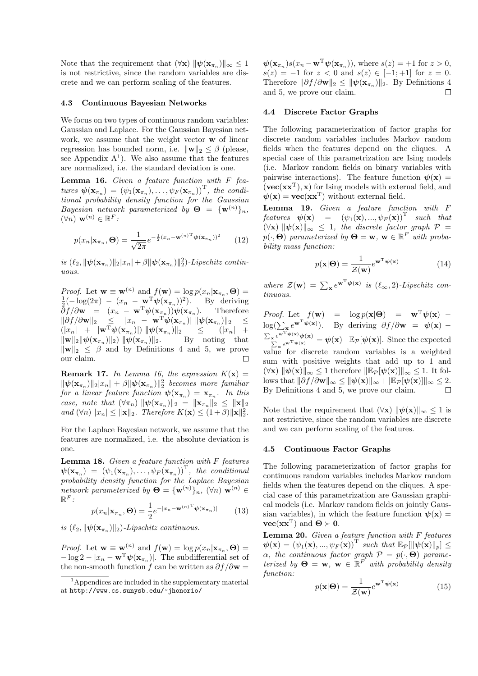Note that the requirement that  $(\forall \mathbf{x}) \|\psi(\mathbf{x}_{\pi_n})\|_{\infty} \leq 1$ is not restrictive, since the random variables are discrete and we can perform scaling of the features.

#### 4.3 Continuous Bayesian Networks

We focus on two types of continuous random variables: Gaussian and Laplace. For the Gaussian Bayesian network, we assume that the weight vector w of linear regression has bounded norm, i.e.  $\|\mathbf{w}\|_2 \leq \beta$  (please, see Appendix  $A<sup>1</sup>$ ). We also assume that the features are normalized, i.e. the standard deviation is one.

Lemma 16. Given a feature function with F features  $\psi(\mathbf{x}_{\pi_n})=(\psi_1(\mathbf{x}_{\pi_n}),\ldots,\psi_F(\mathbf{x}_{\pi_n}))^T$ , the conditional probability density function for the Gaussian Bayesian network parameterized by  $\mathbf{\Theta} = {\mathbf{w}^{(n)}}_n$ ,  $(\forall n) \mathbf{w}^{(n)} \in \mathbb{R}^F$ :

$$
p(x_n|\mathbf{x}_{\pi_n}, \mathbf{\Theta}) = \frac{1}{\sqrt{2\pi}} e^{-\frac{1}{2}(x_n - \mathbf{w}^{(n)}^\mathrm{T} \boldsymbol{\psi}(\mathbf{x}_{\pi_n}))^2}
$$
(12)

is  $(\ell_2, \|\psi(\mathbf{x}_{\pi_n})\|_2 |x_n| + \beta \|\psi(\mathbf{x}_{\pi_n})\|_2^2)$ -Lipschitz continuous.

*Proof.* Let  $\mathbf{w} \equiv \mathbf{w}^{(n)}$  and  $f(\mathbf{w}) = \log p(x_n | \mathbf{x}_{\pi_n}, \Theta) = \frac{1}{2}(-\log(2\pi)) - (x_n - \mathbf{w}^T \boldsymbol{\psi}(\mathbf{x}_{\pi_n}))^2$ . By deriving  $\frac{1}{2}(-\log(2\pi) - (x_n - \mathbf{w}^T)\psi(\mathbf{x}_{\pi_n}))^2$ . By deriving  $\partial f/\partial \mathbf{w} = (x_n - \mathbf{w}^{\mathrm{T}} \boldsymbol{\psi}(\mathbf{x}_{\pi_n})) \boldsymbol{\psi}(\mathbf{x}_{\pi_n}).$  Therefore  $\|\partial f/\partial \mathbf{w}\|_2 \leq |x_n - \mathbf{w}^{\mathrm{T}} \psi(\mathbf{x}_{\pi_n})| \|\psi(\mathbf{x}_{\pi_n})\|_2 \leq$  $\|\mathbf{x}_n\| + \|\mathbf{w}^T\boldsymbol{\psi}(\mathbf{x}_{\pi_n})\|$   $\|\boldsymbol{\psi}(\mathbf{x}_{\pi_n})\|_2 \leq (|x_n| + \|\mathbf{w}\|_2 \|\boldsymbol{\psi}(\mathbf{x}_{\pi_n})\|_2) \|\boldsymbol{\psi}(\mathbf{x}_{\pi_n})\|_2.$  By noting that  $\|\mathbf{w}\|_2 \|\boldsymbol{\psi}(\mathbf{x}_{\pi_n})\|_2) \|\boldsymbol{\psi}(\mathbf{x}_{\pi_n})\|_2.$  $\|\mathbf{w}\|_2 \leq \beta$  and by Definitions 4 and 5, we prove our claim. our claim.

**Remark 17.** In Lemma 16, the expression  $K(\mathbf{x}) =$  $\|\psi(\mathbf{x}_{\pi_n})\|_2|x_n| + \beta \|\psi(\mathbf{x}_{\pi_n})\|_2^2$  becomes more familiar for a linear feature function  $\psi(\mathbf{x}_{\pi_n}) = \mathbf{x}_{\pi_n}$ . In this case, note that  $(\forall \pi_n) \|\psi(\mathbf{x}_{\pi_n})\|_2 = \|\mathbf{x}_{\pi_n}\|_2 \leq \|\mathbf{x}\|_2$ and  $(\forall n) |x_n| \le ||\mathbf{x}||_2$ . Therefore  $K(\mathbf{x}) \le (1+\beta) ||\mathbf{x}||_2^2$ .

For the Laplace Bayesian network, we assume that the features are normalized, i.e. the absolute deviation is one.

**Lemma 18.** Given a feature function with  $F$  features  $\psi(\mathbf{x}_{\pi_n})=(\psi_1(\mathbf{x}_{\pi_n}),\ldots,\psi_F(\mathbf{x}_{\pi_n}))^T$ , the conditional probability density function for the Laplace Bayesian  $network\ parameterized\ by\ \mathbf{\Theta}=\{\mathbf{w}^{(n)}\}_n,\ (\forall n)\ \mathbf{w}^{(n)}\in \mathbb{R}$  $\mathbb{R}^F$ :

$$
p(x_n|\mathbf{x}_{\pi_n}, \mathbf{\Theta}) = \frac{1}{2} e^{-|x_n - \mathbf{w}^{(n)} \mathbf{T}} \psi(\mathbf{x}_{\pi_n})|
$$
(13)

is  $(\ell_2, \|\psi(\mathbf{x}_{\pi_n})\|_2)$ -Lipschitz continuous.

*Proof.* Let  $\mathbf{w} \equiv \mathbf{w}^{(n)}$  and  $f(\mathbf{w}) = \log p(x_n|\mathbf{x}_{\pi_n}, \Theta)$  $-\log 2 - |x_n - \mathbf{w}^T \boldsymbol{\psi}(\mathbf{x}_{\pi_n})|$ . The subdifferential set of the non-smooth function f can be written as  $\partial f / \partial \mathbf{w} =$ 

 $\psi(\mathbf{x}_{\pi_n})s(x_n - \mathbf{w}^T\psi(\mathbf{x}_{\pi_n}))$ , where  $s(z) = +1$  for  $z > 0$ ,  $s(z) = -1$  for  $z < 0$  and  $s(z) \in [-1, +1]$  for  $z = 0$ . Therefore  $\|\partial f/\partial \mathbf{w}\|_2 \leq \|\boldsymbol{\psi}(\mathbf{x}_{\pi_n})\|_2$ . By Definitions 4 and 5, we prove our claim. and 5, we prove our claim.

#### 4.4 Discrete Factor Graphs

The following parameterization of factor graphs for discrete random variables includes Markov random fields when the features depend on the cliques. A special case of this parametrization are Ising models (i.e. Markov random fields on binary variables with pairwise interactions). The feature function  $\psi(\mathbf{x}) =$  $(**vec**(**xx**<sup>T</sup>), **x**)$  for Ising models with external field, and  $\psi(\mathbf{x}) = \mathbf{vec}(\mathbf{x}\mathbf{x}^{\mathrm{T}})$  without external field.

**Lemma 19.** Given a feature function with  $F$ features  $\boldsymbol{\psi}(\mathbf{x}) = (\psi_1(\mathbf{x}), ..., \psi_F(\mathbf{x}))^T$  such that  $(\forall \mathbf{x}) \|\psi(\mathbf{x})\|_{\infty} \leq 1$ , the discrete factor graph  $\mathcal{P} =$  $p(\cdot, \boldsymbol{\Theta})$  parameterized by  $\boldsymbol{\Theta} = \mathbf{w}, \mathbf{w} \in \mathbb{R}^F$  with probability mass function:

$$
p(\mathbf{x}|\mathbf{\Theta}) = \frac{1}{\mathcal{Z}(\mathbf{w})} e^{\mathbf{w}^{\mathrm{T}} \boldsymbol{\psi}(\mathbf{x})}
$$
(14)

where  $\mathcal{Z}(\mathbf{w}) = \sum_{\mathbf{x}} e^{\mathbf{w}^{\mathrm{T}} \boldsymbol{\psi}(\mathbf{x})}$  is  $(\ell_{\infty}, 2)$ -Lipschitz continuous.

Proof. Let  $f(\mathbf{w}) = \log p(\mathbf{x}|\mathbf{\Theta}) = \mathbf{w}^{\mathrm{T}} \boldsymbol{\psi}(\mathbf{x})$  –  $\log(\sum_{\mathbf{x}} e^{\mathbf{w}^{\mathrm{T}}\boldsymbol{\psi}(\mathbf{x})})$ . By deriving  $\partial f/\partial \mathbf{w} = \boldsymbol{\psi}(\mathbf{x})$  –  $\frac{\sum_{\mathbf{x}} e^{\mathbf{w}^{\mathrm{T}} \psi(\mathbf{x})} \psi(\mathbf{x})}{\sum_{\mathbf{x}} e^{\mathbf{w}^{\mathrm{T}} \psi(\mathbf{x})}} = \psi(\mathbf{x}) - \mathbb{E}_{\mathcal{P}}[\psi(\mathbf{x})].$  Since the expected value for discrete random variables is a weighted sum with positive weights that add up to 1 and  $(\forall \mathbf{x}) \|\psi(\mathbf{x})\|_{\infty} \leq 1$  therefore  $\|\mathbb{E}_{\mathcal{P}}[\psi(\mathbf{x})]\|_{\infty} \leq 1$ . It follows that  $\|\partial f/\partial \mathbf{w}\|_{\infty} \leq \|\psi(\mathbf{x})\|_{\infty} + \|\mathbb{E}_{\mathcal{P}}[\psi(\mathbf{x})]\|_{\infty} \leq 2.$ By Definitions 4 and 5, we prove our claim.

Note that the requirement that  $(\forall x)$   $\|\psi(x)\|_{\infty} \leq 1$  is not restrictive, since the random variables are discrete and we can perform scaling of the features.

#### 4.5 Continuous Factor Graphs

The following parameterization of factor graphs for continuous random variables includes Markov random fields when the features depend on the cliques. A special case of this parametrization are Gaussian graphical models (i.e. Markov random fields on jointly Gaussian variables), in which the feature function  $\psi(\mathbf{x}) =$  $\text{vec}(\mathbf{x}\mathbf{x}^T)$  and  $\Theta \succ 0$ .

**Lemma 20.** Given a feature function with  $F$  features  $\psi(\mathbf{x})=(\psi_1(\mathbf{x}),...,\psi_F(\mathbf{x}))^T$  such that  $\mathbb{E}_{\mathcal{P}}[\|\psi(\mathbf{x})\|_p]\leq$  $\alpha$ , the continuous factor graph  $\mathcal{P} = p(\cdot, \Theta)$  parameterized by  $\Theta = \mathbf{w}, \mathbf{w} \in \mathbb{R}^F$  with probability density function:

$$
p(\mathbf{x}|\mathbf{\Theta}) = \frac{1}{\mathcal{Z}(\mathbf{w})} e^{\mathbf{w}^{\mathrm{T}} \boldsymbol{\psi}(\mathbf{x})}
$$
(15)

 $1<sup>1</sup>$ Appendices are included in the supplementary material at http://www.cs.sunysb.edu/~jhonorio/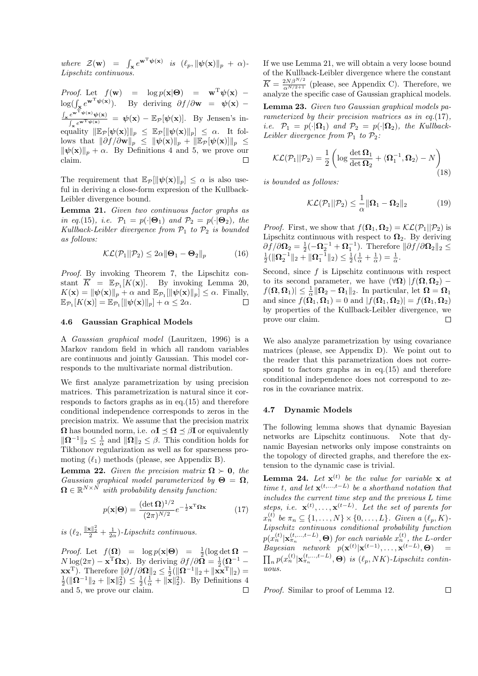where  $\mathcal{Z}(\mathbf{w}) = \int_{\mathbf{x}} e^{\mathbf{w}^{\mathrm{T}} \boldsymbol{\psi}(\mathbf{x})}$  is  $(\ell_p, \|\boldsymbol{\psi}(\mathbf{x})\|_p + \alpha)$ Lipschitz continuous.

*Proof.* Let  $f(\mathbf{w}) = \log p(\mathbf{x}|\mathbf{\Theta}) = \mathbf{w}^{T} \psi(\mathbf{x})$  –  $\log(\int_{\mathbf{x}} e^{\mathbf{w}^{\mathrm{T}}\psi(\mathbf{x})})$ . By deriving  $\partial f/\partial \mathbf{w} = \psi(\mathbf{x}) -$ <br> $\frac{\int_{\mathbf{x}} e^{\mathbf{w}^{\mathrm{T}}\psi(\mathbf{x})}\psi(\mathbf{x})}{\int_{\mathbf{x}} e^{\mathbf{w}^{\mathrm{T}}\psi(\mathbf{x})}} = \psi(\mathbf{x}) - \mathbb{E}_{\mathcal{P}}[\psi(\mathbf{x})]$ . By Jensen's inequality  $\|\mathbb{E}_{\mathcal{P}}[\psi(\mathbf{x})]\|_p \leq \mathbb{E}_{\mathcal{P}}[\|\psi(\mathbf{x})\|_p] \leq \alpha$ . It fol- $\text{lows that } \|\partial f/\partial \mathbf{w}\|_p \leq \|\psi(\mathbf{x})\|_p + \|\mathbb{E}_{\mathcal{P}}[\psi(\mathbf{x})]\|_p \leq$  $\|\psi(\mathbf{x})\|_p + \alpha$ . By Definitions 4 and 5, we prove our claim. claim.

The requirement that  $\mathbb{E}_{\mathcal{P}}[\|\psi(\mathbf{x})\|_p] \leq \alpha$  is also useful in deriving a close-form expresion of the Kullback-Leibler divergence bound.

Lemma 21. Given two continuous factor graphs as in eq.(15), i.e.  $\mathcal{P}_1 = p(\cdot | \mathbf{\Theta}_1)$  and  $\mathcal{P}_2 = p(\cdot | \mathbf{\Theta}_2)$ , the Kullback-Leibler divergence from  $\mathcal{P}_1$  to  $\mathcal{P}_2$  is bounded as follows:

$$
\mathcal{KL}(\mathcal{P}_1||\mathcal{P}_2) \le 2\alpha \|\mathbf{\Theta}_1 - \mathbf{\Theta}_2\|_p \tag{16}
$$

Proof. By invoking Theorem 7, the Lipschitz constant  $\overline{K} = \mathbb{E}_{\mathcal{P}_1}[K(\mathbf{x})]$ . By invoking Lemma 20,  $K(\mathbf{x}) = ||\psi(\mathbf{x})||_p + \alpha$  and  $\mathbb{E}_{\mathcal{P}_1} [||\psi(\mathbf{x})||_p] \leq \alpha$ . Finally,<br> $\mathbb{E}_{\mathcal{P}_1} [K(\mathbf{x})] = \mathbb{E}_{\mathcal{P}_2} [||\psi(\mathbf{x})||_p] + \alpha \leq 2\alpha$ .  $\mathbb{E}_{\mathcal{P}_1}[K(\mathbf{x})] = \mathbb{E}_{\mathcal{P}_1}[\|\boldsymbol{\psi}(\mathbf{x})\|_p] + \alpha \leq 2\alpha.$ 

#### 4.6 Gaussian Graphical Models

A Gaussian graphical model (Lauritzen, 1996) is a Markov random field in which all random variables are continuous and jointly Gaussian. This model corresponds to the multivariate normal distribution.

We first analyze parametrization by using precision matrices. This parametrization is natural since it corresponds to factors graphs as in eq.(15) and therefore conditional independence corresponds to zeros in the precision matrix. We assume that the precision matrix  $\Omega$  has bounded norm, i.e.  $\alpha I \leq \Omega \leq \beta I$  or equivalently  $\|\mathbf{\Omega}^{-1}\|_2 \leq \frac{1}{\alpha}$  and  $\|\mathbf{\Omega}\|_2 \leq \beta$ . This condition holds for Tikhonov regularization as well as for sparseness promoting  $(\ell_1)$  methods (please, see Appendix B).

**Lemma 22.** Given the precision matrix  $\Omega \succ 0$ , the Gaussian graphical model parameterized by  $\Theta = \Omega$ .  $\mathbf{\Omega} \in \mathbb{R}^{N \times N}$  with probability density function:

$$
p(\mathbf{x}|\mathbf{\Theta}) = \frac{(\det \mathbf{\Omega})^{1/2}}{(2\pi)^{N/2}} e^{-\frac{1}{2}\mathbf{x}^{\mathrm{T}} \mathbf{\Omega} \mathbf{x}}
$$
(17)

is  $(\ell_2, \frac{\|\mathbf{x}\|_2^2}{2} + \frac{1}{2\alpha})$ -Lipschitz continuous.

Proof. Let  $f(\mathbf{\Omega}) = \log p(\mathbf{x}|\mathbf{\Theta}) = \frac{1}{2}(\log \det \mathbf{\Omega}) N \log(2\pi) - \mathbf{x}^T \Omega \mathbf{x}$ ). By deriving  $\partial f / \partial \Omega = \frac{1}{2} (\Omega^{-1} \mathbf{x} \mathbf{x}^{\mathrm{T}}$ ). Therefore  $\|\partial f/\partial \mathbf{\Omega}\|_2 \leq \frac{1}{2}(\|\mathbf{\Omega}^{-1}\|_2 + \|\mathbf{x} \mathbf{x}^{\mathrm{T}}\|_2) = \frac{1}{2}(\|\mathbf{\Omega}^{-1}\|_2 + \|\mathbf{x}\|_2^2) \leq \frac{1}{2}(\frac{1}{\alpha} + \|\mathbf{x}\|_2^2)$ . By Definitions 4 and 5, we prove our claim.

If we use Lemma 21, we will obtain a very loose bound of the Kullback-Leibler divergence where the constant  $\overline{K} = \frac{2N\beta^{N/2}}{\alpha^{N/2+1}}$  (please, see Appendix C). Therefore, we analyze the specific case of Gaussian graphical models.

Lemma 23. Given two Gaussian graphical models parameterized by their precision matrices as in eq.(17), i.e.  $\mathcal{P}_1 = p(\cdot|\mathbf{\Omega}_1)$  and  $\mathcal{P}_2 = p(\cdot|\mathbf{\Omega}_2)$ , the Kullback-Leibler divergence from  $P_1$  to  $P_2$ :

$$
\mathcal{KL}(\mathcal{P}_1||\mathcal{P}_2) = \frac{1}{2} \left( \log \frac{\det \Omega_1}{\det \Omega_2} + \langle \Omega_1^{-1}, \Omega_2 \rangle - N \right)
$$
\n(18)

is bounded as follows:

$$
\mathcal{KL}(\mathcal{P}_1||\mathcal{P}_2) \leq \frac{1}{\alpha} \|\mathbf{\Omega}_1 - \mathbf{\Omega}_2\|_2 \tag{19}
$$

*Proof.* First, we show that  $f(\mathbf{\Omega}_1, \mathbf{\Omega}_2) = \mathcal{KL}(\mathcal{P}_1 || \mathcal{P}_2)$  is Lipschitz continuous with respect to  $\Omega_2$ . By deriving  $\frac{\partial f}{\partial \Omega_2} = \frac{1}{2}(-\Omega_2^{-1} + \Omega_1^{-1})$ . Therefore  $\|\partial f/\partial \Omega_2\|_2 \le \frac{1}{2}(\|\Omega_2^{-1}\|_2 + \|\Omega_1^{-1}\|_2) \le \frac{1}{2}(\frac{1}{\alpha} + \frac{1}{\alpha}) = \frac{1}{\alpha}$ .

Second, since  $f$  is Lipschitz continuous with respect to its second parameter, we have  $(\forall \Omega)$   $| f(\Omega, \Omega_2) |f(\mathbf{\Omega}, \mathbf{\Omega}_1)| \leq \frac{1}{\alpha} ||\mathbf{\Omega}_2 - \mathbf{\Omega}_1||_2.$  In particular, let  $\mathbf{\Omega} = \mathbf{\Omega}_1$ and since  $f(\tilde{\mathbf{\Omega}}_1, \mathbf{\Omega}_1) = 0$  and  $|f(\mathbf{\Omega}_1, \mathbf{\Omega}_2)| = f(\mathbf{\Omega}_1, \mathbf{\Omega}_2)$ by properties of the Kullback-Leibler divergence, we prove our claim. П

We also analyze parametrization by using covariance matrices (please, see Appendix D). We point out to the reader that this parametrization does not correspond to factors graphs as in eq. $(15)$  and therefore conditional independence does not correspond to zeros in the covariance matrix.

#### 4.7 Dynamic Models

The following lemma shows that dynamic Bayesian networks are Lipschitz continuous. Note that dynamic Bayesian networks only impose constraints on the topology of directed graphs, and therefore the extension to the dynamic case is trivial.

**Lemma 24.** Let  $\mathbf{x}^{(t)}$  be the value for variable  $\mathbf{x}$  at time t, and let  $\mathbf{x}^{(t,...,t-L)}$  be a shorthand notation that includes the current time step and the previous L time steps, i.e.  $\mathbf{x}^{(t)}, \ldots, \mathbf{x}^{(t-L)}$ . Let the set of parents for  $x_n^{(t)}$  be  $\pi_n \subseteq \{1, ..., N\} \times \{0, ..., L\}$ . Given a  $(\ell_p, K)$ -Lipschitz continuous conditional probability function  $p(x_n^{(t)} | \mathbf{x}_{\pi_n}^{(t, ..., t-L)}, \boldsymbol{\Theta})$  for each variable  $x_n^{(t)}$ , the L-order  $Bayesian$  network  $p(\mathbf{x}^{(t)} | \mathbf{x}^{(t-1)}, \dots, \mathbf{x}^{(t-L)}, \Theta) =$  $\prod_n p(x_n^{(t)} | \mathbf{x}_{\pi_n}^{(t,\ldots,t-L)}, \boldsymbol{\Theta})$  is  $(\ell_p, NK)$ -Lipschitz continuous.

Proof. Similar to proof of Lemma 12.

 $\Box$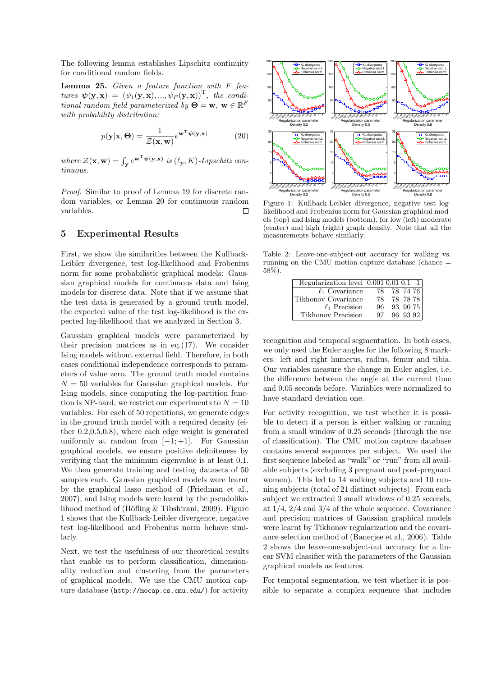The following lemma establishes Lipschitz continuity for conditional random fields.

Lemma 25. Given a feature function with F features  $\boldsymbol{\psi}(\mathbf{y}, \mathbf{x}) = (\psi_1(\mathbf{y}, \mathbf{x}), ..., \psi_F(\mathbf{y}, \mathbf{x}))^T$ , the conditional random field parameterized by  $\mathbf{\Theta} = \mathbf{w}, \mathbf{w} \in \mathbb{R}^F$ with probability distribution:

$$
p(\mathbf{y}|\mathbf{x}, \Theta) = \frac{1}{\mathcal{Z}(\mathbf{x}, \mathbf{w})} e^{\mathbf{w}^{\mathrm{T}} \boldsymbol{\psi}(\mathbf{y}, \mathbf{x})}
$$
(20)

where  $\mathcal{Z}(\mathbf{x}, \mathbf{w}) = \int_{\mathbf{y}} e^{\mathbf{w}^{\mathrm{T}} \boldsymbol{\psi}(\mathbf{y}, \mathbf{x})}$  is  $(\ell_p, K)$ -Lipschitz continuous.

Proof. Similar to proof of Lemma 19 for discrete random variables, or Lemma 20 for continuous random variables. Е

# 5 Experimental Results

First, we show the similarities between the Kullback-Leibler divergence, test log-likelihood and Frobenius norm for some probabilistic graphical models: Gaussian graphical models for continuous data and Ising models for discrete data. Note that if we assume that the test data is generated by a ground truth model, the expected value of the test log-likelihood is the expected log-likelihood that we analyzed in Section 3.

Gaussian graphical models were parameterized by their precision matrices as in eq. $(17)$ . We consider Ising models without external field. Therefore, in both cases conditional independence corresponds to parameters of value zero. The ground truth model contains  $N = 50$  variables for Gaussian graphical models. For Ising models, since computing the log-partition function is NP-hard, we restrict our experiments to  $N = 10$ variables. For each of 50 repetitions, we generate edges in the ground truth model with a required density (either 0.2,0.5,0.8), where each edge weight is generated uniformly at random from  $[-1; +1]$ . For Gaussian graphical models, we ensure positive definiteness by verifying that the minimum eigenvalue is at least 0.1. We then generate training and testing datasets of 50 samples each. Gaussian graphical models were learnt by the graphical lasso method of (Friedman et al., 2007), and Ising models were learnt by the pseudolikelihood method of (Höfling  $&$  Tibshirani, 2009). Figure 1 shows that the Kullback-Leibler divergence, negative test log-likelihood and Frobenius norm behave similarly.

Next, we test the usefulness of our theoretical results that enable us to perform classification, dimensionality reduction and clustering from the parameters of graphical models. We use the CMU motion capture database (http://mocap.cs.cmu.edu/) for activity



Figure 1: Kullback-Leibler divergence, negative test loglikelihood and Frobenius norm for Gaussian graphical models (top) and Ising models (bottom), for low (left) moderate (center) and high (right) graph density. Note that all the measurements behave similarly.

Table 2: Leave-one-subject-out accuracy for walking vs. running on the CMU motion capture database (chance = 58%).

| Regularization level $(0.001\ 0.01\ 0.1)$ |     |          |  |
|-------------------------------------------|-----|----------|--|
| $\ell_1$ Covariance                       | 78. | 78 74 76 |  |
| Tikhonov Covariance                       | 78  | 78 78 78 |  |
| $\ell_1$ Precision                        | 96  | 93 90 75 |  |
| Tikhonov Precision                        | 97  | 96 93 92 |  |

recognition and temporal segmentation. In both cases, we only used the Euler angles for the following 8 markers: left and right humerus, radius, femur and tibia. Our variables measure the change in Euler angles, i.e. the difference between the angle at the current time and 0.05 seconds before. Variables were normalized to have standard deviation one.

For activity recognition, we test whether it is possible to detect if a person is either walking or running from a small window of 0.25 seconds (through the use of classification). The CMU motion capture database contains several sequences per subject. We used the first sequence labeled as "walk" or "run" from all available subjects (excluding 3 pregnant and post-pregnant women). This led to 14 walking subjects and 10 running subjects (total of 21 distinct subjects). From each subject we extracted 3 small windows of 0.25 seconds, at 1/4, 2/4 and 3/4 of the whole sequence. Covariance and precision matrices of Gaussian graphical models were learnt by Tikhonov regularization and the covariance selection method of (Banerjee et al., 2006). Table 2 shows the leave-one-subject-out accuracy for a linear SVM classifier with the parameters of the Gaussian graphical models as features.

For temporal segmentation, we test whether it is possible to separate a complex sequence that includes